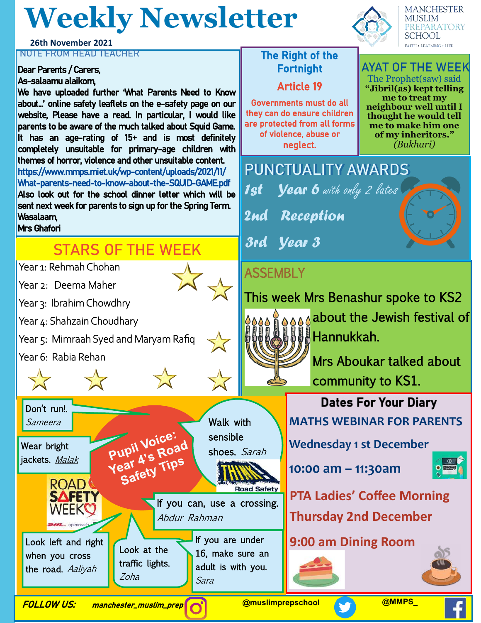# **Weekly Newsletter**

#### **26th November 2021 NOTE FROM HEAD TEACHER** THE RIGHT THE Right of the

### Dear Parents / Carers,

#### As-salaamu alaikom,

We have uploaded further 'What Parents Need to Know about…' online safety leaflets on the e-safety page on our website, Please have a read. In particular, I would like parents to be aware of the much talked about Squid Game. It has an age-rating of 15+ and is most definitely completely unsuitable for primary-age children with themes of horror, violence and other unsuitable content. https://www.mmps.miet.uk/wp-content/uploads/2021/11/ What-parents-need-to-know-about-the-SQUID-GAME.pdf Also look out for the school dinner letter which will be sent next week for parents to sign up for the Spring Term. Wasalaam,

#### Mrs Ghafori

## **STARS OF THE WEEK**

Year 1: Rehmah Chohan

Year 2: Deema Maher

Year 3: Ibrahim Chowdhry

Year 4: Shahzain Choudhary

Year 5: Mimraah Syed and Maryam Rafiq

Year 6: Rabia Rehan

Don't run!. Sameera

Wear bright jackets. Malak





Abdur Rahman

Sara

If you are under 16, make sure an adult is with you.



Governments must do all they can do ensure children are protected from all forms of violence, abuse or neglect.



**MANCHESTER MUSLIM** PREPARATORY **SCHOOL FAITH . LEARNING . LIFE** 

#### **AYAT OF THE WEEK** The Prophet(saw) said

**"Jibril(as) kept telling me to treat my neighbour well until I thought he would tell me to make him one of my inheritors."**  *(Bukhari)*



## **ASSEMBLY**



### Look left and right **19:00 am Dining Room**



when you cross the road. Aaliyah

**ROAD** 

**SAFETY** WEEKC

Look at the traffic lights.

Pupil Voice: Pupil Voice:<br>Year 4's Road ear 4's Rue<br>ear 4's Tips<br>Safety Tips

Zoha